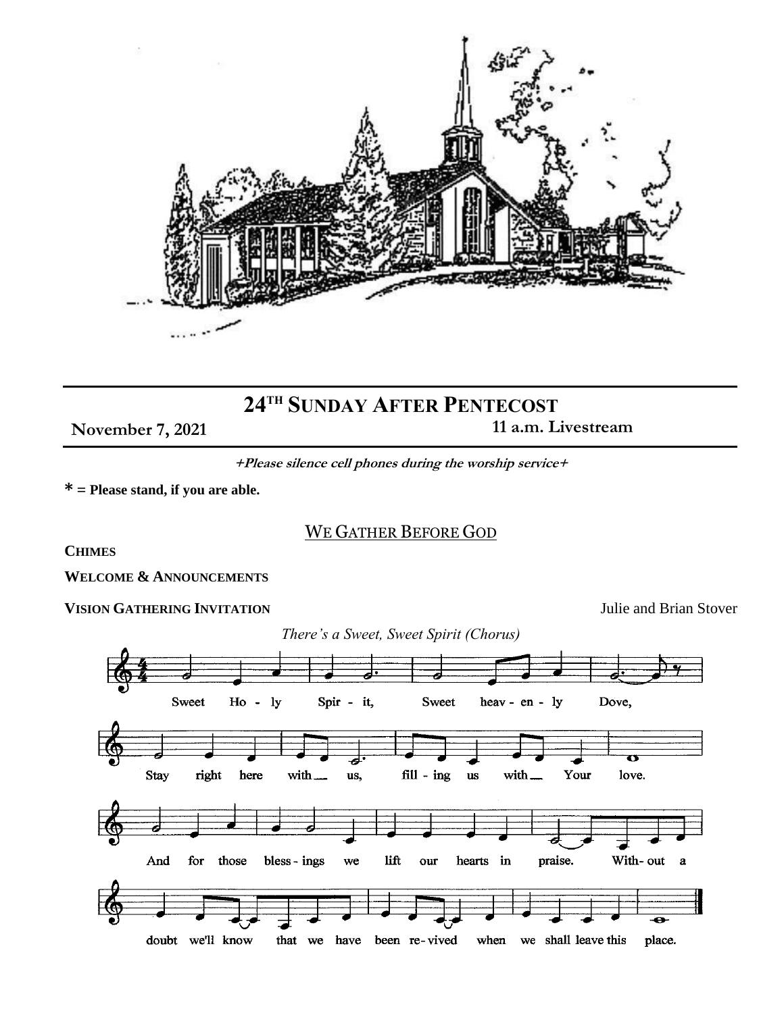

# **24TH SUNDAY AFTER PENTECOST**

**November 7, 2021** 11 a.m. Livestream

**+Please silence cell phones during the worship service+**

**\* = Please stand, if you are able.** 

## WE GATHER BEFORE GOD

**CHIMES**

**WELCOME & ANNOUNCEMENTS**

## **VISION GATHERING INVITATION** Julie and Brian Stover

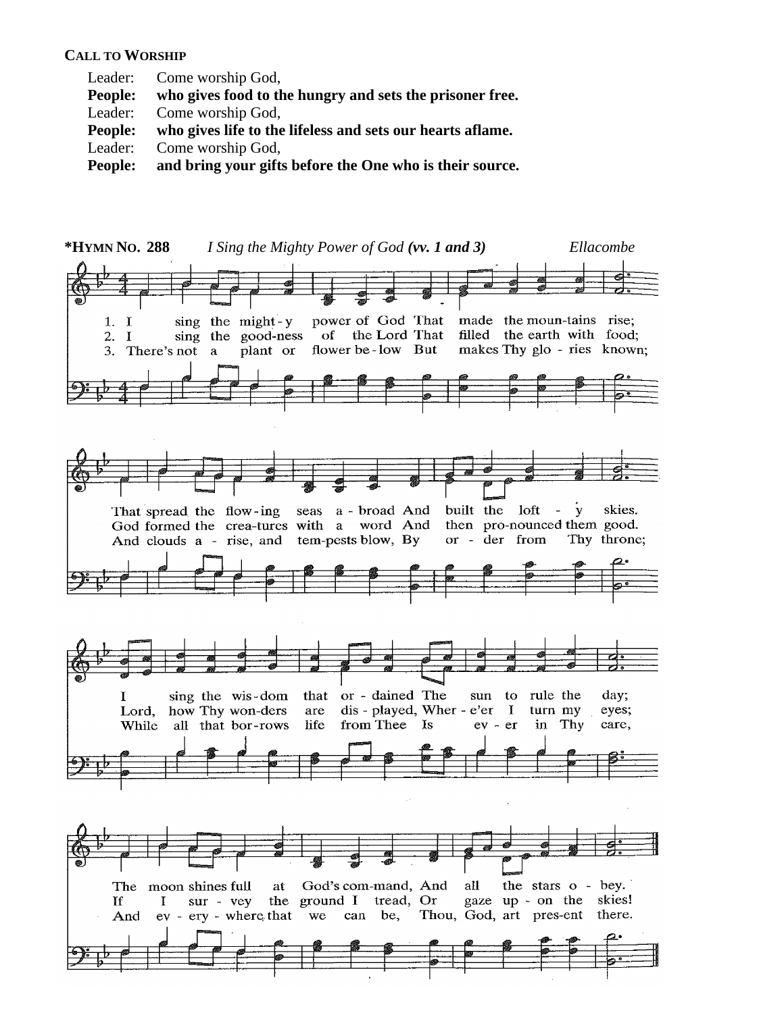#### **CALL TO WORSHIP**

- Leader: Come worship God,
- **People: who gives food to the hungry and sets the prisoner free.**
- Leader: Come worship God,
- **People: who gives life to the lifeless and sets our hearts aflame.**
- Leader: Come worship God,
- **People: and bring your gifts before the One who is their source.**

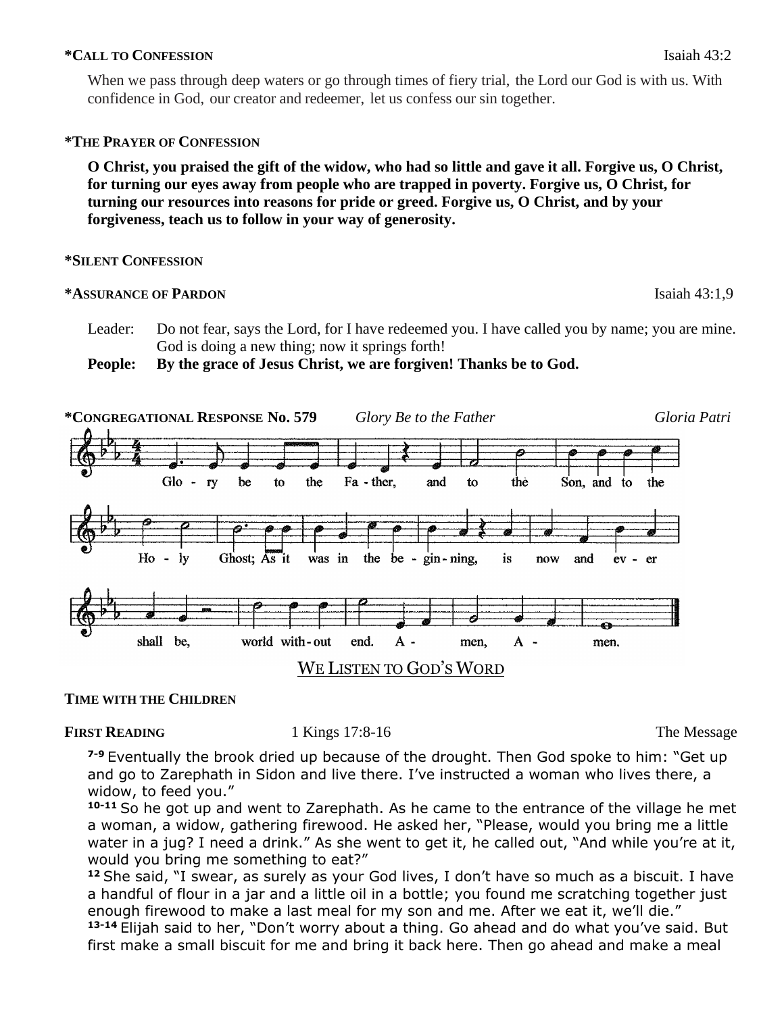## **\*CALL TO CONFESSION** Isaiah 43:2

When we pass through deep waters or go through times of fiery trial, the Lord our God is with us. With confidence in God, our creator and redeemer, let us confess our sin together.

## **\*THE PRAYER OF CONFESSION**

**O Christ, you praised the gift of the widow, who had so little and gave it all. Forgive us, O Christ, for turning our eyes away from people who are trapped in poverty. Forgive us, O Christ, for turning our resources into reasons for pride or greed. Forgive us, O Christ, and by your forgiveness, teach us to follow in your way of generosity.** 

## **\*SILENT CONFESSION**

## **\*ASSURANCE OF PARDON** Isaiah 43:1,9

Leader: Do not fear, says the Lord, for I have redeemed you. I have called you by name; you are mine. God is doing a new thing; now it springs forth!

**People: By the grace of Jesus Christ, we are forgiven! Thanks be to God.**



## **TIME WITH THE CHILDREN**

## **FIRST READING** 1 Kings 17:8-16 The Message

**7-9** Eventually the brook dried up because of the drought. Then God spoke to him: "Get up and go to Zarephath in Sidon and live there. I've instructed a woman who lives there, a widow, to feed you."

**10-11** So he got up and went to Zarephath. As he came to the entrance of the village he met a woman, a widow, gathering firewood. He asked her, "Please, would you bring me a little water in a jug? I need a drink." As she went to get it, he called out, "And while you're at it, would you bring me something to eat?"

**<sup>12</sup>** She said, "I swear, as surely as your God lives, I don't have so much as a biscuit. I have a handful of flour in a jar and a little oil in a bottle; you found me scratching together just enough firewood to make a last meal for my son and me. After we eat it, we'll die."

**13-14** Elijah said to her, "Don't worry about a thing. Go ahead and do what you've said. But first make a small biscuit for me and bring it back here. Then go ahead and make a meal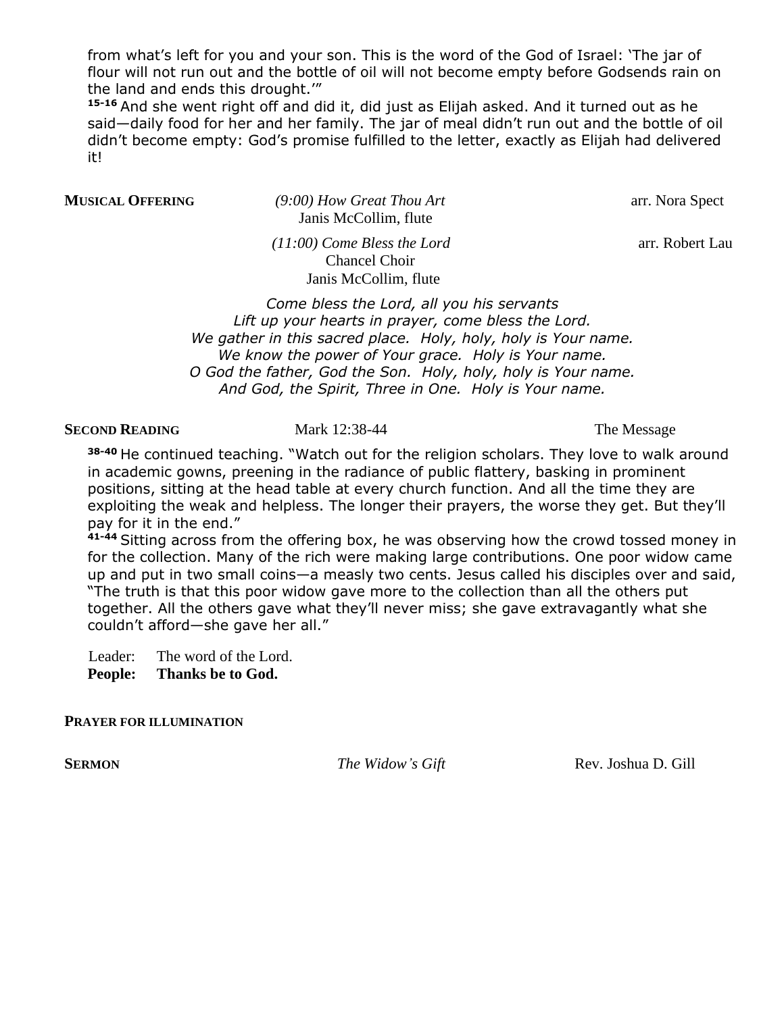from what's left for you and your son. This is the word of the God of Israel: 'The jar of flour will not run out and the bottle of oil will not become empty before Godsends rain on the land and ends this drought.'"

**15-16** And she went right off and did it, did just as Elijah asked. And it turned out as he said—daily food for her and her family. The jar of meal didn't run out and the bottle of oil didn't become empty: God's promise fulfilled to the letter, exactly as Elijah had delivered it!

**MUSICAL OFFERING** (9:00) How Great Thou Art arr. Nora Spect Janis McCollim, flute

 *(11:00) Come Bless the Lord* arr. Robert Lau Chancel Choir Janis McCollim, flute

*Come bless the Lord, all you his servants Lift up your hearts in prayer, come bless the Lord. We gather in this sacred place. Holy, holy, holy is Your name. We know the power of Your grace. Holy is Your name. O God the father, God the Son. Holy, holy, holy is Your name. And God, the Spirit, Three in One. Holy is Your name.*

#### **SECOND READING** Mark 12:38-44 The Message

**38-40** He continued teaching. "Watch out for the religion scholars. They love to walk around in academic gowns, preening in the radiance of public flattery, basking in prominent positions, sitting at the head table at every church function. And all the time they are exploiting the weak and helpless. The longer their prayers, the worse they get. But they'll pay for it in the end."

**41-44** Sitting across from the offering box, he was observing how the crowd tossed money in for the collection. Many of the rich were making large contributions. One poor widow came up and put in two small coins—a measly two cents. Jesus called his disciples over and said, "The truth is that this poor widow gave more to the collection than all the others put together. All the others gave what they'll never miss; she gave extravagantly what she couldn't afford—she gave her all."

Leader: The word of the Lord.

**People: Thanks be to God.**

## **PRAYER FOR ILLUMINATION**

**SERMON** The Widow's Gift Rev. Joshua D. Gill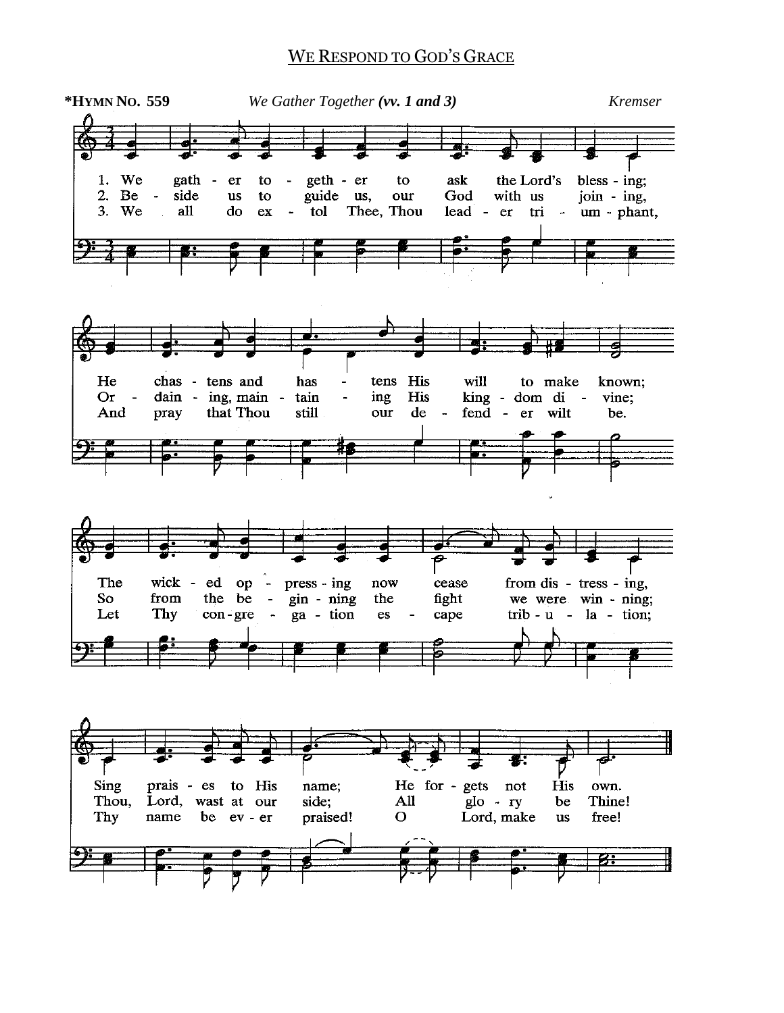## WE RESPOND TO GOD'S GRACE

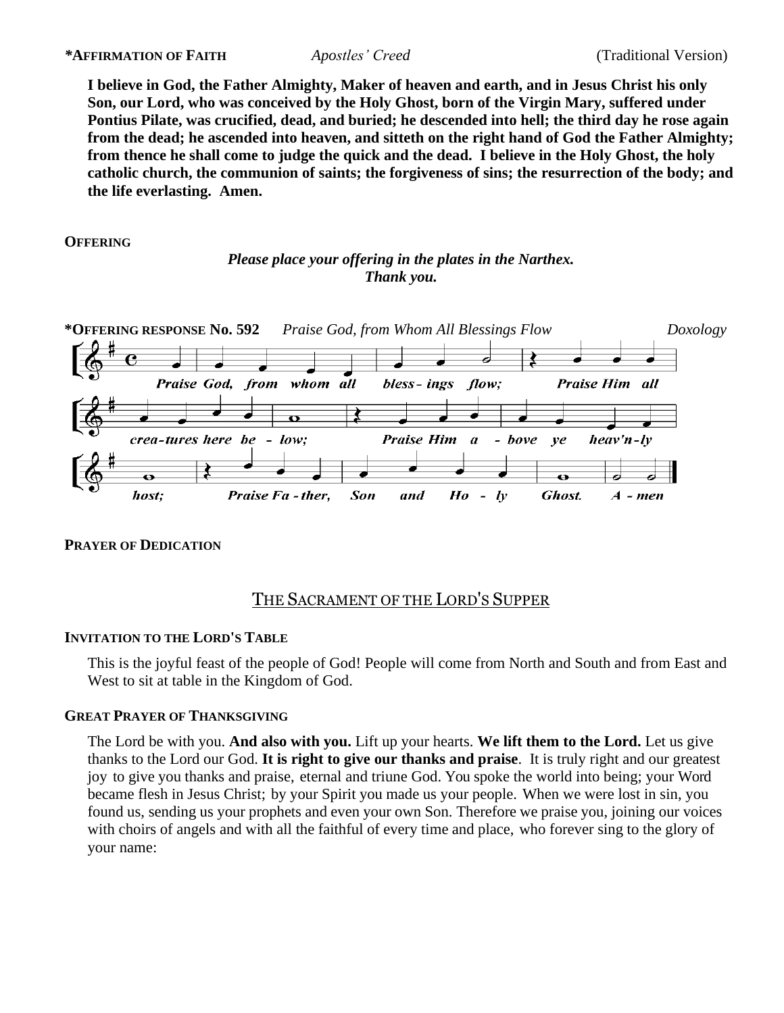**I believe in God, the Father Almighty, Maker of heaven and earth, and in Jesus Christ his only Son, our Lord, who was conceived by the Holy Ghost, born of the Virgin Mary, suffered under Pontius Pilate, was crucified, dead, and buried; he descended into hell; the third day he rose again from the dead; he ascended into heaven, and sitteth on the right hand of God the Father Almighty; from thence he shall come to judge the quick and the dead. I believe in the Holy Ghost, the holy catholic church, the communion of saints; the forgiveness of sins; the resurrection of the body; and the life everlasting. Amen.** 

**OFFERING**

## *Please place your offering in the plates in the Narthex. Thank you.*



## **PRAYER OF DEDICATION**

## THE SACRAMENT OF THE LORD'S SUPPER

## **INVITATION TO THE LORD'S TABLE**

This is the joyful feast of the people of God! People will come from North and South and from East and West to sit at table in the Kingdom of God.

## **GREAT PRAYER OF THANKSGIVING**

The Lord be with you. **And also with you.** Lift up your hearts. **We lift them to the Lord.** Let us give thanks to the Lord our God. **It is right to give our thanks and praise**. It is truly right and our greatest joy to give you thanks and praise, eternal and triune God. You spoke the world into being; your Word became flesh in Jesus Christ; by your Spirit you made us your people. When we were lost in sin, you found us, sending us your prophets and even your own Son. Therefore we praise you, joining our voices with choirs of angels and with all the faithful of every time and place, who forever sing to the glory of your name: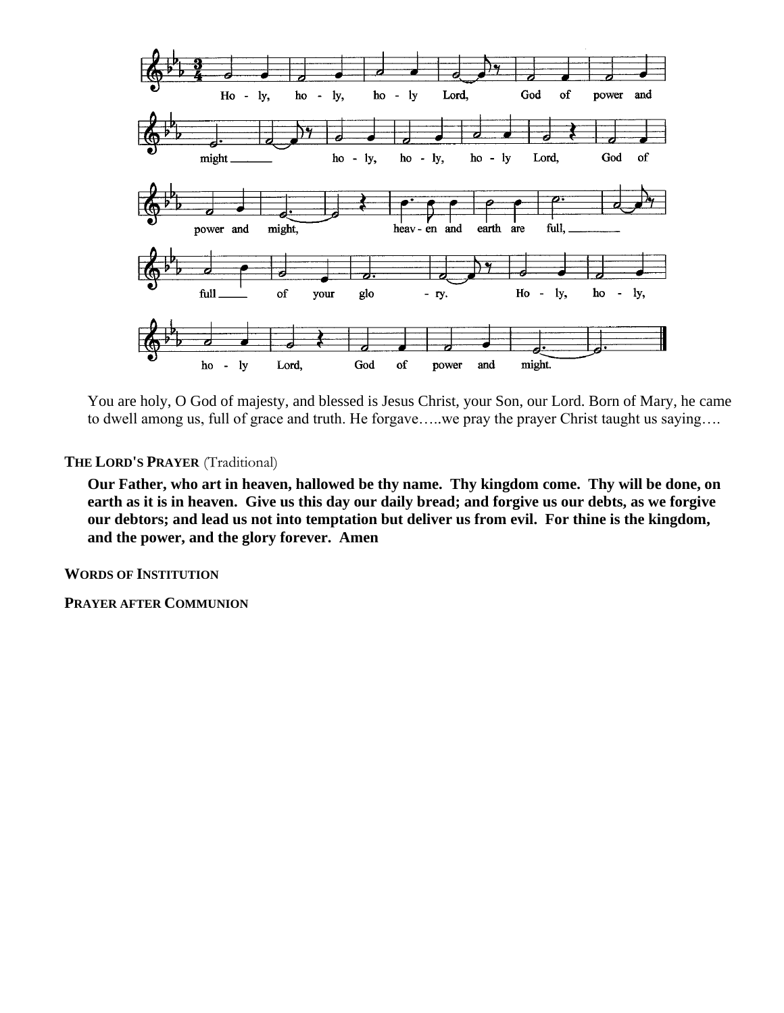

You are holy, O God of majesty, and blessed is Jesus Christ, your Son, our Lord. Born of Mary, he came to dwell among us, full of grace and truth. He forgave…..we pray the prayer Christ taught us saying….

**THE LORD'S PRAYER** (Traditional)

**Our Father, who art in heaven, hallowed be thy name. Thy kingdom come. Thy will be done, on earth as it is in heaven. Give us this day our daily bread; and forgive us our debts, as we forgive our debtors; and lead us not into temptation but deliver us from evil. For thine is the kingdom, and the power, and the glory forever. Amen** 

**WORDS OF INSTITUTION**

**PRAYER AFTER COMMUNION**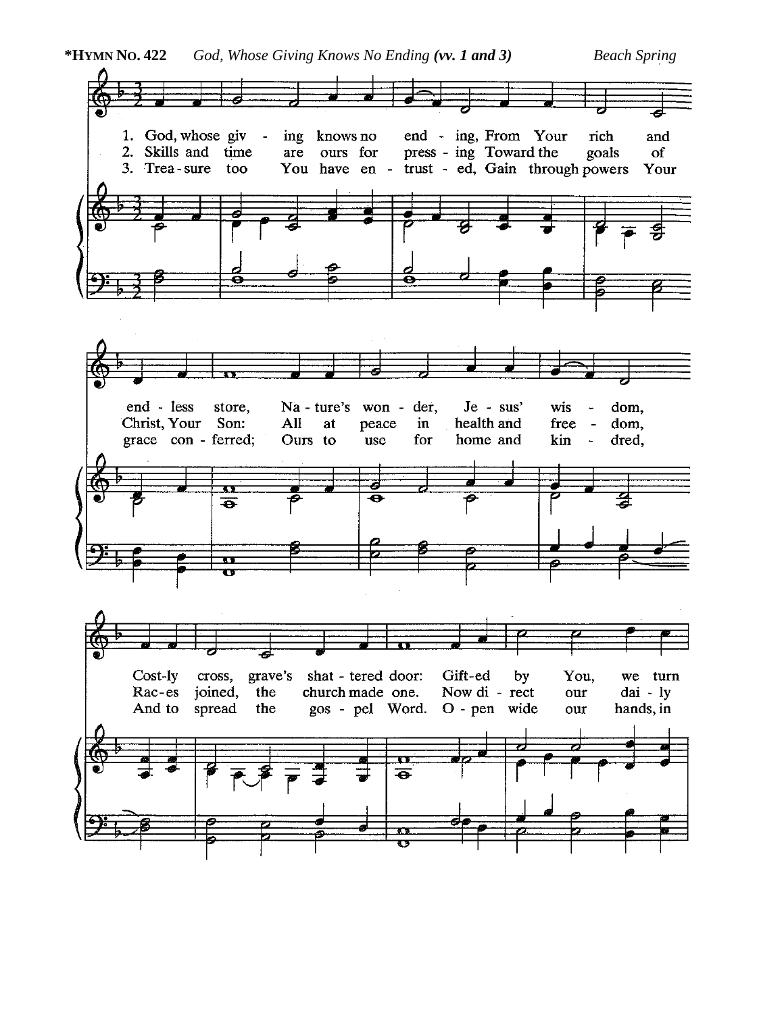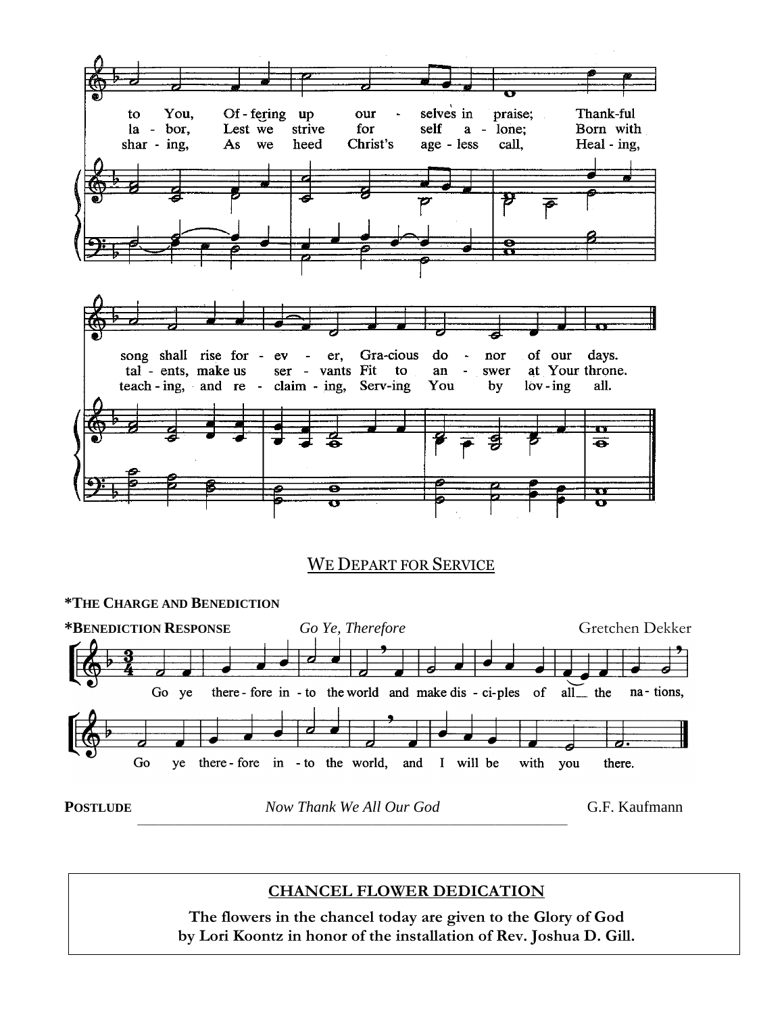

## WE DEPART FOR SERVICE



## **CHANCEL FLOWER DEDICATION**

**The flowers in the chancel today are given to the Glory of God by Lori Koontz in honor of the installation of Rev. Joshua D. Gill.**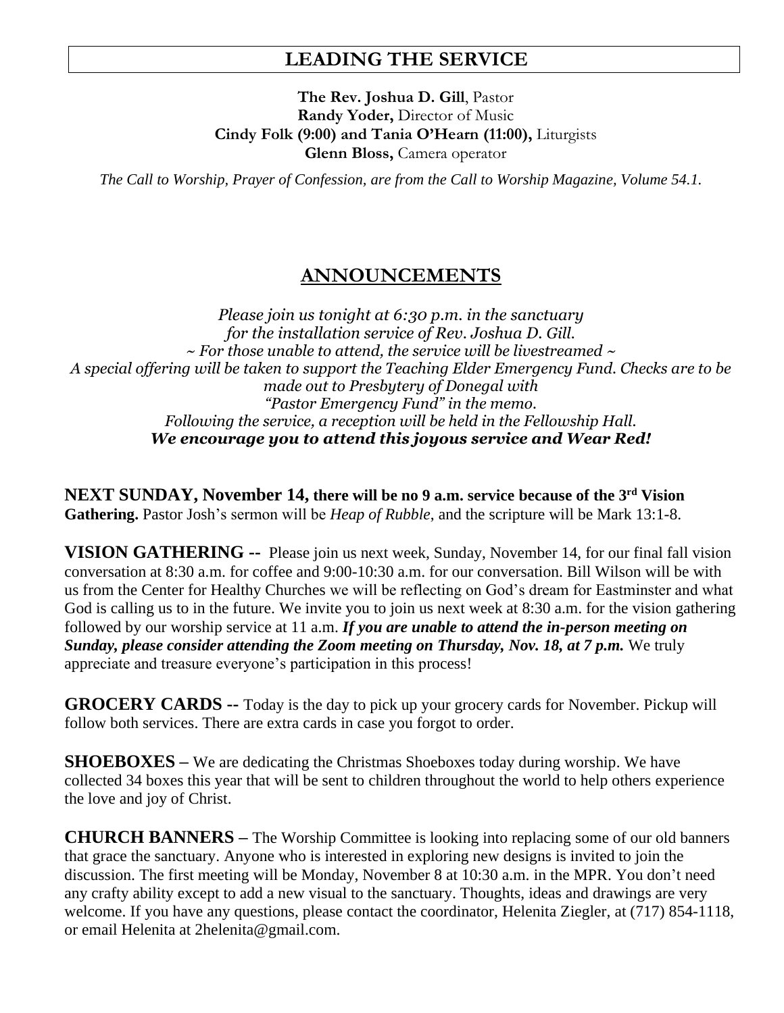# **LEADING THE SERVICE**

**The Rev. Joshua D. Gill**, Pastor **Randy Yoder,** Director of Music **Cindy Folk (9:00) and Tania O'Hearn (11:00),** Liturgists **Glenn Bloss,** Camera operator

*The Call to Worship, Prayer of Confession, are from the Call to Worship Magazine, Volume 54.1.* 

# **ANNOUNCEMENTS**

*Please join us tonight at 6:30 p.m. in the sanctuary for the installation service of Rev. Joshua D. Gill. ~ For those unable to attend, the service will be livestreamed ~ A special offering will be taken to support the Teaching Elder Emergency Fund. Checks are to be made out to Presbytery of Donegal with "Pastor Emergency Fund" in the memo. Following the service, a reception will be held in the Fellowship Hall. We encourage you to attend this joyous service and Wear Red!*

**NEXT SUNDAY, November 14, there will be no 9 a.m. service because of the 3 rd Vision Gathering.** Pastor Josh's sermon will be *Heap of Rubble*, and the scripture will be Mark 13:1-8.

**VISION GATHERING --** Please join us next week, Sunday, November 14, for our final fall vision conversation at 8:30 a.m. for coffee and 9:00-10:30 a.m. for our conversation. Bill Wilson will be with us from the Center for Healthy Churches we will be reflecting on God's dream for Eastminster and what God is calling us to in the future. We invite you to join us next week at 8:30 a.m. for the vision gathering followed by our worship service at 11 a.m. *If you are unable to attend the in-person meeting on Sunday, please consider attending the Zoom meeting on Thursday, Nov. 18, at 7 p.m.* We truly appreciate and treasure everyone's participation in this process!

**GROCERY CARDS --** Today is the day to pick up your grocery cards for November. Pickup will follow both services. There are extra cards in case you forgot to order.

**SHOEBOXES –** We are dedicating the Christmas Shoeboxes today during worship. We have collected 34 boxes this year that will be sent to children throughout the world to help others experience the love and joy of Christ.

**CHURCH BANNERS –** The Worship Committee is looking into replacing some of our old banners that grace the sanctuary. Anyone who is interested in exploring new designs is invited to join the discussion. The first meeting will be Monday, November 8 at 10:30 a.m. in the MPR. You don't need any crafty ability except to add a new visual to the sanctuary. Thoughts, ideas and drawings are very welcome. If you have any questions, please contact the coordinator, Helenita Ziegler, at (717) 854-1118, or email Helenita at 2helenita@gmail.com.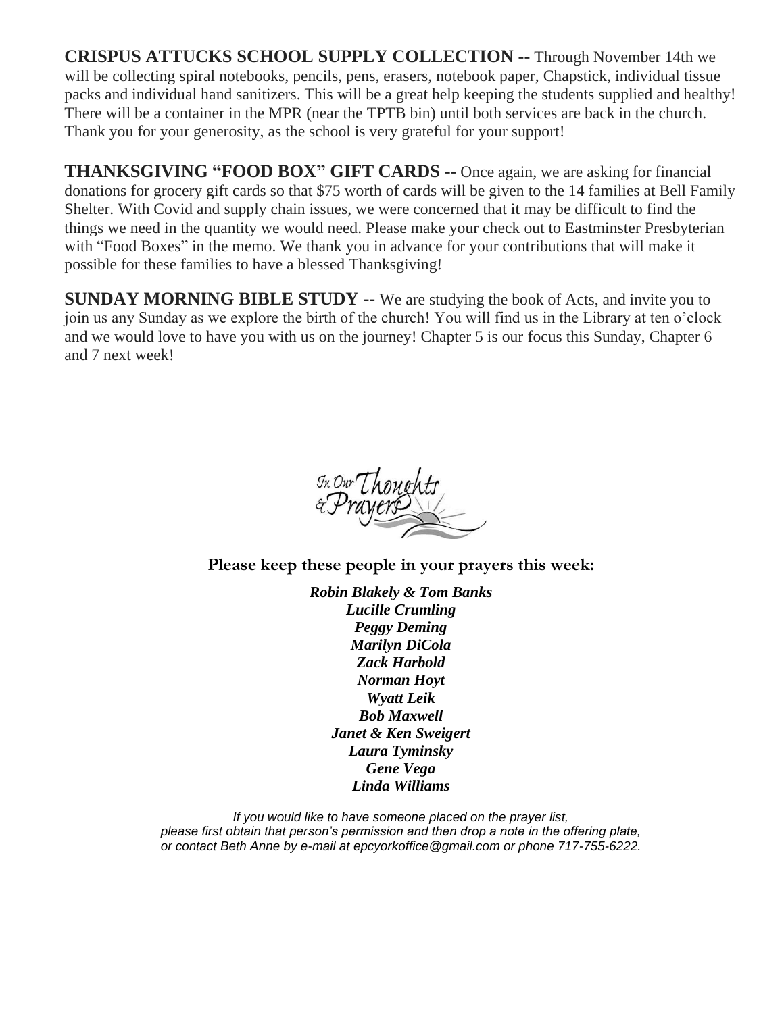**CRISPUS ATTUCKS SCHOOL SUPPLY COLLECTION --** Through November 14th we will be collecting spiral notebooks, pencils, pens, erasers, notebook paper, Chapstick, individual tissue packs and individual hand sanitizers. This will be a great help keeping the students supplied and healthy! There will be a container in the MPR (near the TPTB bin) until both services are back in the church. Thank you for your generosity, as the school is very grateful for your support!

**THANKSGIVING "FOOD BOX" GIFT CARDS --** Once again, we are asking for financial donations for grocery gift cards so that \$75 worth of cards will be given to the 14 families at Bell Family Shelter. With Covid and supply chain issues, we were concerned that it may be difficult to find the things we need in the quantity we would need. Please make your check out to Eastminster Presbyterian with "Food Boxes" in the memo. We thank you in advance for your contributions that will make it possible for these families to have a blessed Thanksgiving!

**SUNDAY MORNING BIBLE STUDY --** We are studying the book of Acts, and invite you to join us any Sunday as we explore the birth of the church! You will find us in the Library at ten o'clock and we would love to have you with us on the journey! Chapter 5 is our focus this Sunday, Chapter 6 and 7 next week!

In Our Thoughts<br>&Prayers

**Please keep these people in your prayers this week:**

*Robin Blakely & Tom Banks Lucille Crumling Peggy Deming Marilyn DiCola Zack Harbold Norman Hoyt Wyatt Leik Bob Maxwell Janet & Ken Sweigert Laura Tyminsky Gene Vega Linda Williams*

*If you would like to have someone placed on the prayer list, please first obtain that person's permission and then drop a note in the offering plate, or contact Beth Anne by e-mail at epcyorkoffice@gmail.com or phone 717-755-6222.*